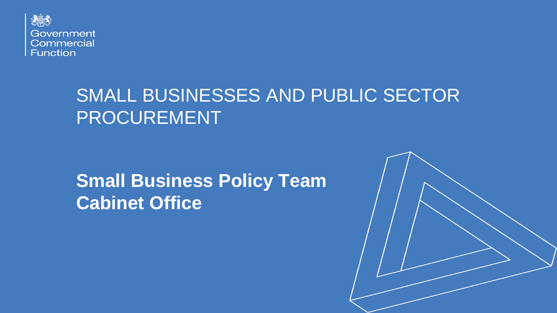

# SMALL BUSINESSES AND PUBLIC SECTOR PROCUREMENT

# **Small Business Policy Team Cabinet Office**

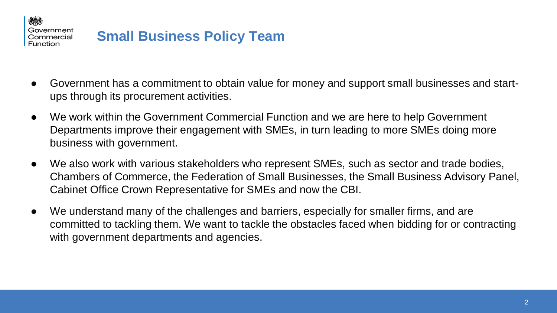

## **Small Business Policy Team**

- Government has a commitment to obtain value for money and support small businesses and startups through its procurement activities.
- We work within the Government Commercial Function and we are here to help Government Departments improve their engagement with SMEs, in turn leading to more SMEs doing more business with government.
- We also work with various stakeholders who represent SMEs, such as sector and trade bodies, Chambers of Commerce, the Federation of Small Businesses, the Small Business Advisory Panel, Cabinet Office Crown Representative for SMEs and now the CBI.
- We understand many of the challenges and barriers, especially for smaller firms, and are committed to tackling them. We want to tackle the obstacles faced when bidding for or contracting with government departments and agencies.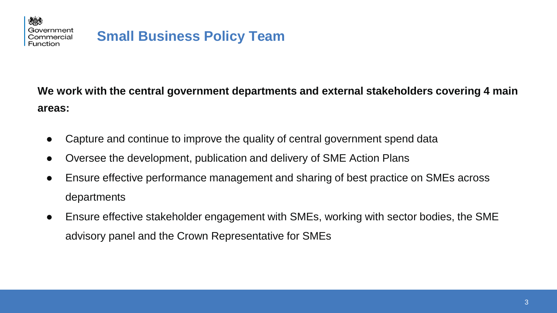

火めえ

### **Small Business Policy Team**

**We work with the central government departments and external stakeholders covering 4 main areas:**

- Capture and continue to improve the quality of central government spend data
- Oversee the development, publication and delivery of SME Action Plans
- Ensure effective performance management and sharing of best practice on SMEs across departments
- Ensure effective stakeholder engagement with SMEs, working with sector bodies, the SME advisory panel and the Crown Representative for SMEs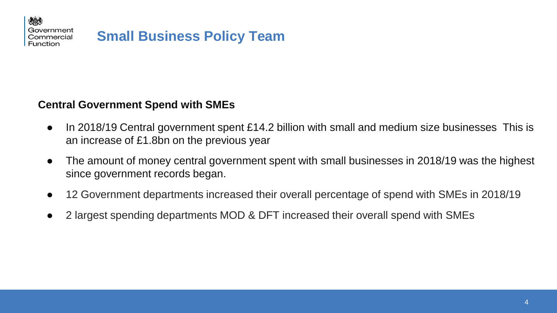

#### **Central Government Spend with SMEs**

- In 2018/19 Central government spent £14.2 billion with small and medium size businesses This is an increase of £1.8bn on the previous year
- The amount of money central government spent with small businesses in 2018/19 was the highest since government records began.
- 12 Government departments increased their overall percentage of spend with SMEs in 2018/19
- 2 largest spending departments MOD & DFT increased their overall spend with SMEs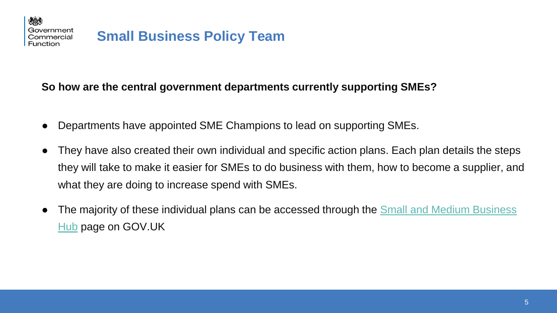火めえ

#### **So how are the central government departments currently supporting SMEs?**

- Departments have appointed SME Champions to lead on supporting SMEs.
- They have also created their own individual and specific action plans. Each plan details the steps they will take to make it easier for SMEs to do business with them, how to become a supplier, and what they are doing to increase spend with SMEs.
- The majority of these individual plans can be accessed through the Small and Medium Business Hub page on GOV.UK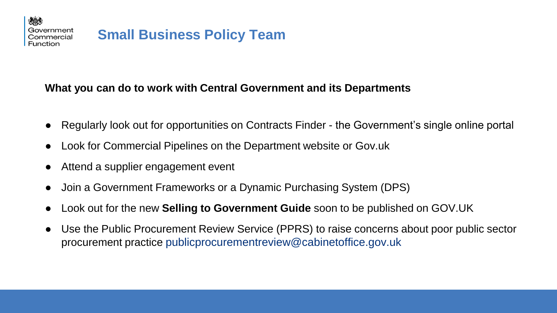

## **Small Business Policy Team**

#### **What you can do to work with Central Government and its Departments**

- Regularly look out for opportunities on Contracts Finder the Government's single online portal
- Look for Commercial Pipelines on the Department website or Gov.uk
- Attend a supplier engagement event
- Join a Government Frameworks or a Dynamic Purchasing System (DPS)
- Look out for the new **Selling to Government Guide** soon to be published on GOV.UK
- Use the Public Procurement Review Service (PPRS) to raise concerns about poor public sector procurement practice publicprocurementreview@cabinetoffice.gov.uk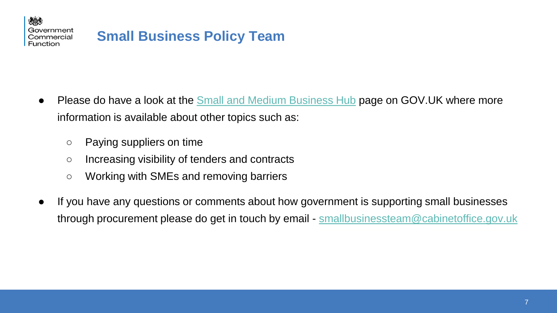

- Please do have a look at the [Small and Medium Business Hub](https://www.gov.uk/guidance/small-and-medium-business-hub) page on GOV.UK where more information is available about other topics such as:
	- Paying suppliers on time
	- Increasing visibility of tenders and contracts
	- Working with SMEs and removing barriers
- If you have any questions or comments about how government is supporting small businesses through procurement please do get in touch by email - [smallbusinessteam@cabinetoffice.gov.uk](mailto:smallbusinessteam@cabinetoffice.gov.uk)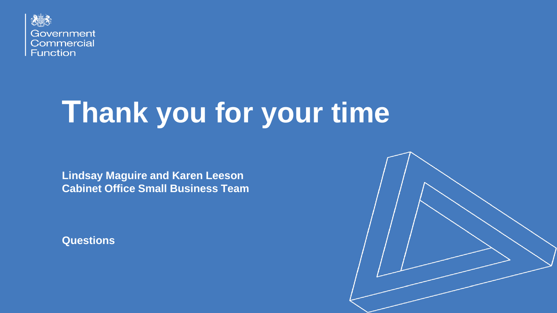

# **Thank you for your time**

**Lindsay Maguire and Karen Leeson Cabinet Office Small Business Team**

**Questions**